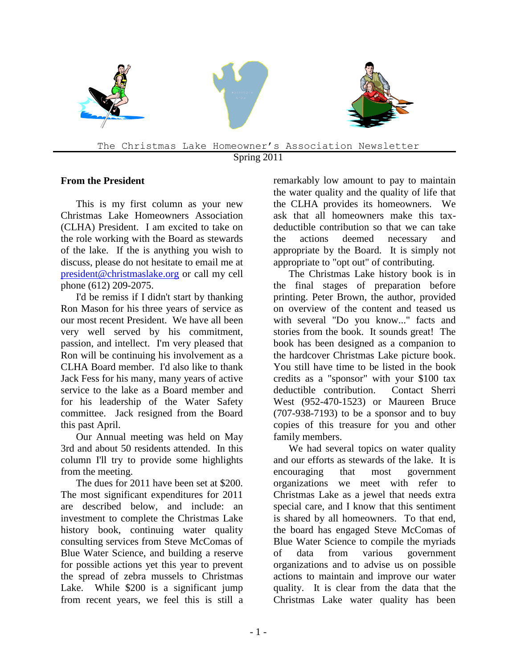

Spring 2011

#### **From the President**

This is my first column as your new Christmas Lake Homeowners Association (CLHA) President. I am excited to take on the role working with the Board as stewards of the lake. If the is anything you wish to discuss, please do not hesitate to email me at [president@christmaslake.org](mailto:president@christmaslake.org) or call my cell phone (612) 209-2075.

I'd be remiss if I didn't start by thanking Ron Mason for his three years of service as our most recent President. We have all been very well served by his commitment, passion, and intellect. I'm very pleased that Ron will be continuing his involvement as a CLHA Board member. I'd also like to thank Jack Fess for his many, many years of active service to the lake as a Board member and for his leadership of the Water Safety committee. Jack resigned from the Board this past April.

Our Annual meeting was held on May 3rd and about 50 residents attended. In this column I'll try to provide some highlights from the meeting.

The dues for 2011 have been set at \$200. The most significant expenditures for 2011 are described below, and include: an investment to complete the Christmas Lake history book, continuing water quality consulting services from Steve McComas of Blue Water Science, and building a reserve for possible actions yet this year to prevent the spread of zebra mussels to Christmas Lake. While \$200 is a significant jump from recent years, we feel this is still a remarkably low amount to pay to maintain the water quality and the quality of life that the CLHA provides its homeowners. We ask that all homeowners make this taxdeductible contribution so that we can take the actions deemed necessary and appropriate by the Board. It is simply not appropriate to "opt out" of contributing.

The Christmas Lake history book is in the final stages of preparation before printing. Peter Brown, the author, provided on overview of the content and teased us with several "Do you know..." facts and stories from the book. It sounds great! The book has been designed as a companion to the hardcover Christmas Lake picture book. You still have time to be listed in the book credits as a "sponsor" with your \$100 tax deductible contribution. Contact Sherri West (952-470-1523) or Maureen Bruce (707-938-7193) to be a sponsor and to buy copies of this treasure for you and other family members.

We had several topics on water quality and our efforts as stewards of the lake. It is encouraging that most government organizations we meet with refer to Christmas Lake as a jewel that needs extra special care, and I know that this sentiment is shared by all homeowners. To that end, the board has engaged Steve McComas of Blue Water Science to compile the myriads of data from various government organizations and to advise us on possible actions to maintain and improve our water quality. It is clear from the data that the Christmas Lake water quality has been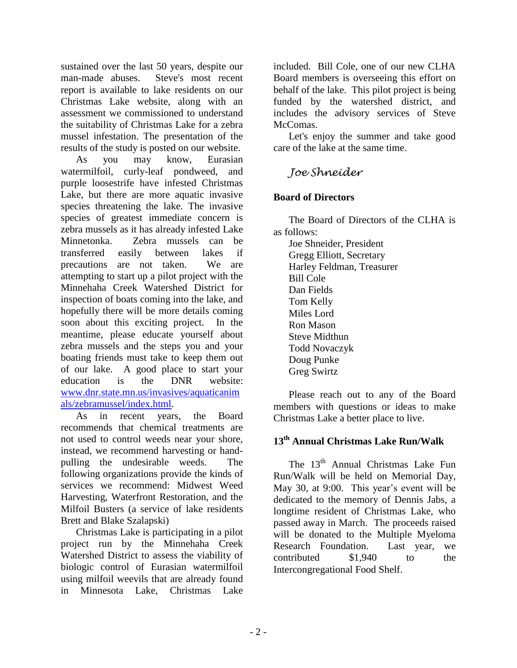sustained over the last 50 years, despite our man-made abuses. Steve's most recent report is available to lake residents on our Christmas Lake website, along with an assessment we commissioned to understand the suitability of Christmas Lake for a zebra mussel infestation. The presentation of the results of the study is posted on our website.

As you may know, Eurasian watermilfoil, curly-leaf pondweed, and purple loosestrife have infested Christmas Lake, but there are more aquatic invasive species threatening the lake. The invasive species of greatest immediate concern is zebra mussels as it has already infested Lake Minnetonka. Zebra mussels can be transferred easily between lakes if precautions are not taken. We are attempting to start up a pilot project with the Minnehaha Creek Watershed District for inspection of boats coming into the lake, and hopefully there will be more details coming soon about this exciting project. In the meantime, please educate yourself about zebra mussels and the steps you and your boating friends must take to keep them out of our lake. A good place to start your education is the DNR website: [www.dnr.state.mn.us/invasives/aquaticanim](http://www.dnr.state.mn.us/invasives/aquaticanimals/zebramussel/index.html) [als/zebramussel/index.html.](http://www.dnr.state.mn.us/invasives/aquaticanimals/zebramussel/index.html)

As in recent years, the Board recommends that chemical treatments are not used to control weeds near your shore, instead, we recommend harvesting or handpulling the undesirable weeds. The following organizations provide the kinds of services we recommend: Midwest Weed Harvesting, Waterfront Restoration, and the Milfoil Busters (a service of lake residents Brett and Blake Szalapski)

Christmas Lake is participating in a pilot project run by the Minnehaha Creek Watershed District to assess the viability of biologic control of Eurasian watermilfoil using milfoil weevils that are already found in Minnesota Lake, Christmas Lake

included. Bill Cole, one of our new CLHA Board members is overseeing this effort on behalf of the lake. This pilot project is being funded by the watershed district, and includes the advisory services of Steve McComas.

Let's enjoy the summer and take good care of the lake at the same time.

# *Joe Shneider*

### **Board of Directors**

The Board of Directors of the CLHA is as follows:

Joe Shneider, President Gregg Elliott, Secretary Harley Feldman, Treasurer Bill Cole Dan Fields Tom Kelly Miles Lord Ron Mason Steve Midthun Todd Novaczyk Doug Punke Greg Swirtz

Please reach out to any of the Board members with questions or ideas to make Christmas Lake a better place to live.

## **13 th Annual Christmas Lake Run/Walk**

The 13<sup>th</sup> Annual Christmas Lake Fun Run/Walk will be held on Memorial Day, May 30, at 9:00. This year's event will be dedicated to the memory of Dennis Jabs, a longtime resident of Christmas Lake, who passed away in March. The proceeds raised will be donated to the Multiple Myeloma Research Foundation. Last year, we contributed \$1,940 to the Intercongregational Food Shelf.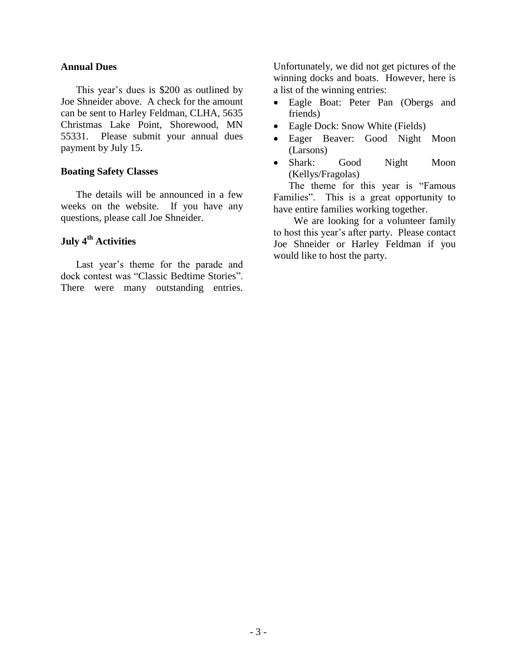#### **Annual Dues**

This year's dues is \$200 as outlined by Joe Shneider above. A check for the amount can be sent to Harley Feldman, CLHA, 5635 Christmas Lake Point, Shorewood, MN 55331. Please submit your annual dues payment by July 15.

#### **Boating Safety Classes**

The details will be announced in a few weeks on the website. If you have any questions, please call Joe Shneider.

## **July 4th Activities**

Last year's theme for the parade and dock contest was "Classic Bedtime Stories". There were many outstanding entries.

Unfortunately, we did not get pictures of the winning docks and boats. However, here is a list of the winning entries:

- Eagle Boat: Peter Pan (Obergs and friends)
- Eagle Dock: Snow White (Fields)
- Eager Beaver: Good Night Moon (Larsons)
- Shark: Good Night Moon (Kellys/Fragolas)

The theme for this year is "Famous Families". This is a great opportunity to have entire families working together.

We are looking for a volunteer family to host this year's after party. Please contact Joe Shneider or Harley Feldman if you would like to host the party.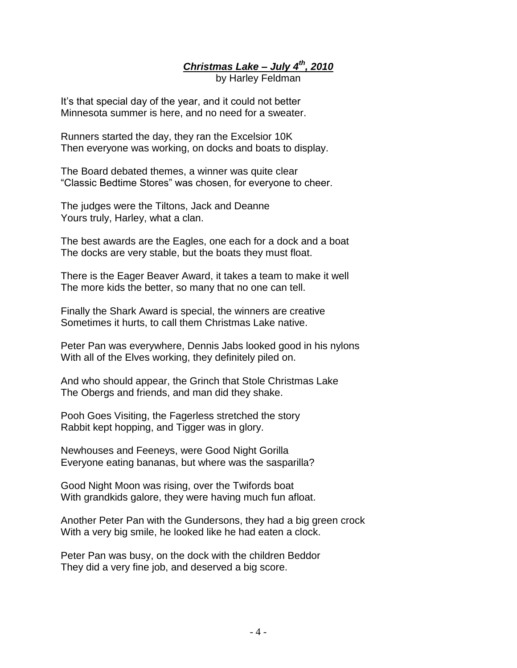*Christmas Lake – July 4th, 2010* by Harley Feldman

It's that special day of the year, and it could not better Minnesota summer is here, and no need for a sweater.

Runners started the day, they ran the Excelsior 10K Then everyone was working, on docks and boats to display.

The Board debated themes, a winner was quite clear "Classic Bedtime Stores" was chosen, for everyone to cheer.

The judges were the Tiltons, Jack and Deanne Yours truly, Harley, what a clan.

The best awards are the Eagles, one each for a dock and a boat The docks are very stable, but the boats they must float.

There is the Eager Beaver Award, it takes a team to make it well The more kids the better, so many that no one can tell.

Finally the Shark Award is special, the winners are creative Sometimes it hurts, to call them Christmas Lake native.

Peter Pan was everywhere, Dennis Jabs looked good in his nylons With all of the Elves working, they definitely piled on.

And who should appear, the Grinch that Stole Christmas Lake The Obergs and friends, and man did they shake.

Pooh Goes Visiting, the Fagerless stretched the story Rabbit kept hopping, and Tigger was in glory.

Newhouses and Feeneys, were Good Night Gorilla Everyone eating bananas, but where was the sasparilla?

Good Night Moon was rising, over the Twifords boat With grandkids galore, they were having much fun afloat.

Another Peter Pan with the Gundersons, they had a big green crock With a very big smile, he looked like he had eaten a clock.

Peter Pan was busy, on the dock with the children Beddor They did a very fine job, and deserved a big score.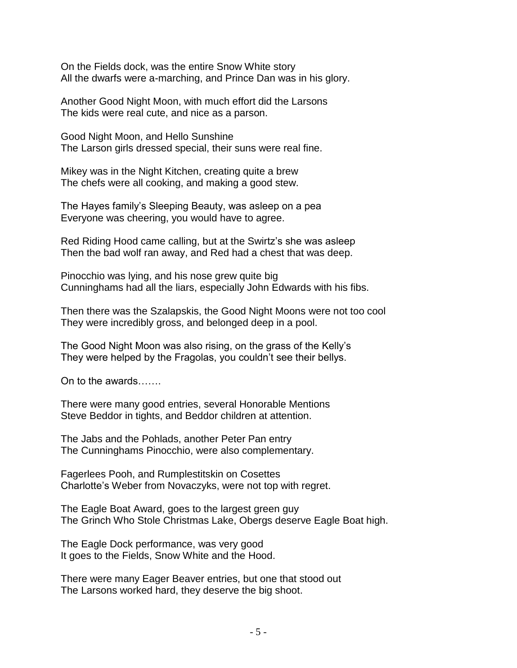On the Fields dock, was the entire Snow White story All the dwarfs were a-marching, and Prince Dan was in his glory.

Another Good Night Moon, with much effort did the Larsons The kids were real cute, and nice as a parson.

Good Night Moon, and Hello Sunshine The Larson girls dressed special, their suns were real fine.

Mikey was in the Night Kitchen, creating quite a brew The chefs were all cooking, and making a good stew.

The Hayes family's Sleeping Beauty, was asleep on a pea Everyone was cheering, you would have to agree.

Red Riding Hood came calling, but at the Swirtz's she was asleep Then the bad wolf ran away, and Red had a chest that was deep.

Pinocchio was lying, and his nose grew quite big Cunninghams had all the liars, especially John Edwards with his fibs.

Then there was the Szalapskis, the Good Night Moons were not too cool They were incredibly gross, and belonged deep in a pool.

The Good Night Moon was also rising, on the grass of the Kelly's They were helped by the Fragolas, you couldn't see their bellys.

On to the awards…….

There were many good entries, several Honorable Mentions Steve Beddor in tights, and Beddor children at attention.

The Jabs and the Pohlads, another Peter Pan entry The Cunninghams Pinocchio, were also complementary.

Fagerlees Pooh, and Rumplestitskin on Cosettes Charlotte's Weber from Novaczyks, were not top with regret.

The Eagle Boat Award, goes to the largest green guy The Grinch Who Stole Christmas Lake, Obergs deserve Eagle Boat high.

The Eagle Dock performance, was very good It goes to the Fields, Snow White and the Hood.

There were many Eager Beaver entries, but one that stood out The Larsons worked hard, they deserve the big shoot.